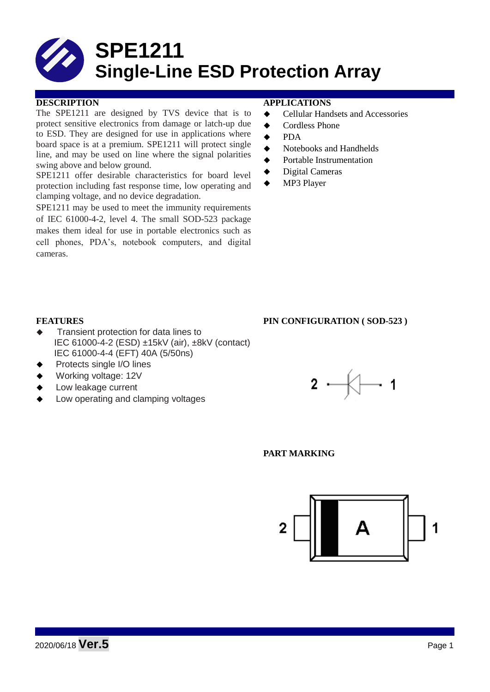

### **DESCRIPTION APPLICATIONS**

The SPE1211 are designed by TVS device that is to protect sensitive electronics from damage or latch-up due to ESD. They are designed for use in applications where board space is at a premium. SPE1211 will protect single line, and may be used on line where the signal polarities swing above and below ground.

SPE1211 offer desirable characteristics for board level protection including fast response time, low operating and clamping voltage, and no device degradation.

SPE1211 may be used to meet the immunity requirements of IEC 61000-4-2, level 4. The small SOD-523 package makes them ideal for use in portable electronics such as cell phones, PDA's, notebook computers, and digital cameras.

- **←** Cellular Handsets and Accessories
- ◆ Cordless Phone
- $\bullet$  PDA
- Notebooks and Handhelds
- Portable Instrumentation
- ◆ Digital Cameras
- MP3 Player

### **FEATURES** PIN CONFIGURATION (SOD-523)

- Transient protection for data lines to IEC 61000-4-2 (ESD) ±15kV (air), ±8kV (contact) IEC 61000-4-4 (EFT) 40A (5/50ns)
- Protects single I/O lines
- Working voltage: 12V
- Low leakage current
- Low operating and clamping voltages



### **PART MARKING**

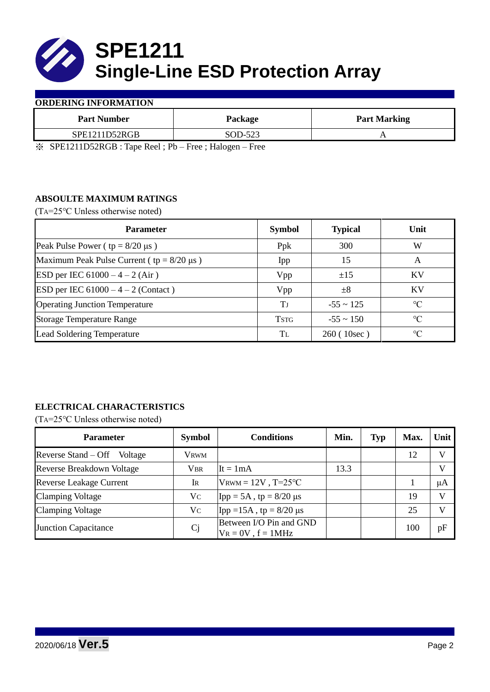

### **ORDERING INFORMATION**

| <b>Part Number</b>                                | Package                             | <b>Part Marking</b> |  |
|---------------------------------------------------|-------------------------------------|---------------------|--|
| SPE1211D52RGB                                     | SOD-523                             |                     |  |
| $\mathcal{M}$ applied to the set of $\mathcal{M}$ | $- - -$<br>$\overline{\phantom{0}}$ |                     |  |

※ SPE1211D52RGB : Tape Reel ; Pb – Free ; Halogen – Free

# **ABSOULTE MAXIMUM RATINGS**

(TA=25℃ Unless otherwise noted)

| <b>Parameter</b>                                 | <b>Symbol</b> | <b>Typical</b> | Unit            |
|--------------------------------------------------|---------------|----------------|-----------------|
| Peak Pulse Power ( $tp = 8/20 \mu s$ )           | Ppk           | 300            | W               |
| Maximum Peak Pulse Current ( $tp = 8/20 \mu s$ ) | Ipp           | 15             | A               |
| ESD per IEC $61000 - 4 - 2$ (Air)                | Vpp           | ±15            | KV              |
| ESD per IEC $61000 - 4 - 2$ (Contact)            | Vpp           | $\pm 8$        | KV              |
| <b>Operating Junction Temperature</b>            | ТJ            | $-55 \sim 125$ | $\circ$ C       |
| <b>Storage Temperature Range</b>                 | <b>TSTG</b>   | $-55 \sim 150$ | $\rm ^{\circ}C$ |
| Lead Soldering Temperature                       | Tl            | 260 (10sec)    | $\rm ^{\circ}C$ |

# **ELECTRICAL CHARACTERISTICS**

(TA=25℃ Unless otherwise noted)

| <b>Parameter</b>               | <b>Symbol</b>  | <b>Conditions</b>                                  | Min. | <b>Typ</b> | Max. | Unit         |
|--------------------------------|----------------|----------------------------------------------------|------|------------|------|--------------|
| Reverse Stand – Off<br>Voltage | Vrwm           |                                                    |      |            | 12   | V            |
| Reverse Breakdown Voltage      | <b>VBR</b>     | $It = 1mA$                                         | 13.3 |            |      | V            |
| <b>Reverse Leakage Current</b> | IR             | $V_{\text{RWM}} = 12V$ , T=25 °C                   |      |            |      | μA           |
| <b>Clamping Voltage</b>        | Vc             | $\text{Ipp} = 5A$ , tp = 8/20 µs                   |      |            | 19   | $\mathbf{V}$ |
| <b>Clamping Voltage</b>        | Vc             | Ipp = $15A$ , tp = $8/20 \mu s$                    |      |            | 25   | V            |
| <b>Junction Capacitance</b>    | C <sub>j</sub> | Between I/O Pin and GND<br>$V_R = 0V$ , $f = 1MHz$ |      |            | 100  | pF           |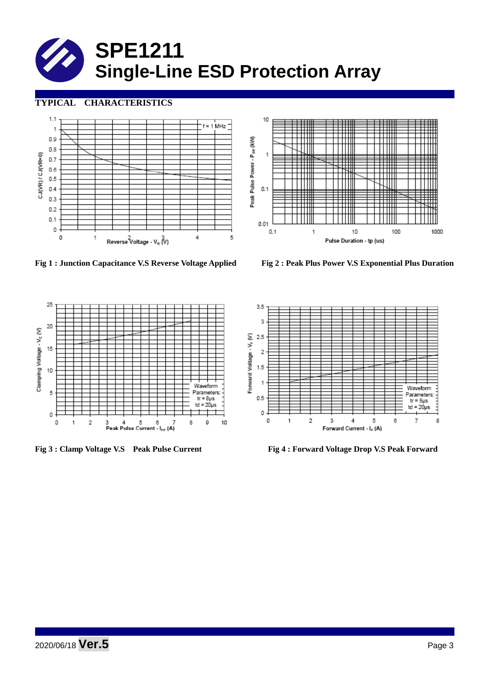# **SPE1211 Single-Line ESD Protection Array**

# **TYPICAL CHARACTERISTICS**





**Fig 1 : Junction Capacitance V.S Reverse Voltage Applied Fig 2 : Peak Plus Power V.S Exponential Plus Duration**





**Fig 3 : Clamp Voltage V.S Peak Pulse Current Fig 4 : Forward Voltage Drop V.S Peak Forward** 

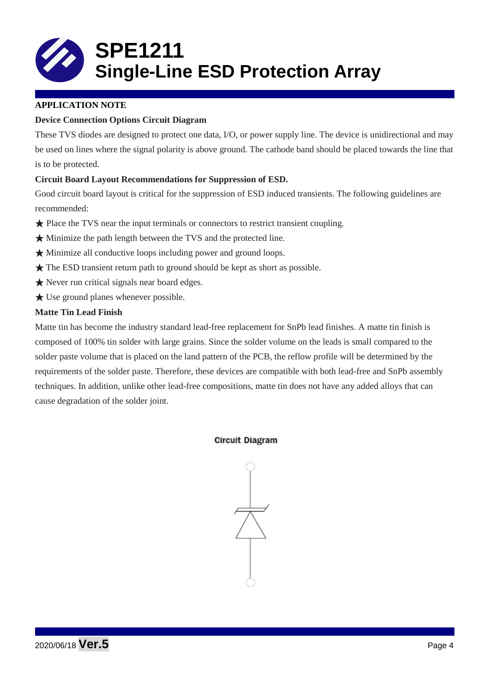

# **APPLICATION NOTE**

# **Device Connection Options Circuit Diagram**

These TVS diodes are designed to protect one data, I/O, or power supply line. The device is unidirectional and may be used on lines where the signal polarity is above ground. The cathode band should be placed towards the line that is to be protected.

# **Circuit Board Layout Recommendations for Suppression of ESD.**

Good circuit board layout is critical for the suppression of ESD induced transients. The following guidelines are recommended:

- ★ Place the TVS near the input terminals or connectors to restrict transient coupling.
- ★ Minimize the path length between the TVS and the protected line.
- ★ Minimize all conductive loops including power and ground loops.
- ★ The ESD transient return path to ground should be kept as short as possible.
- ★ Never run critical signals near board edges.
- $\bigstar$  Use ground planes whenever possible.

# **Matte Tin Lead Finish**

Matte tin has become the industry standard lead-free replacement for SnPb lead finishes. A matte tin finish is composed of 100% tin solder with large grains. Since the solder volume on the leads is small compared to the solder paste volume that is placed on the land pattern of the PCB, the reflow profile will be determined by the requirements of the solder paste. Therefore, these devices are compatible with both lead-free and SnPb assembly techniques. In addition, unlike other lead-free compositions, matte tin does not have any added alloys that can cause degradation of the solder joint.

# **Circuit Diagram**